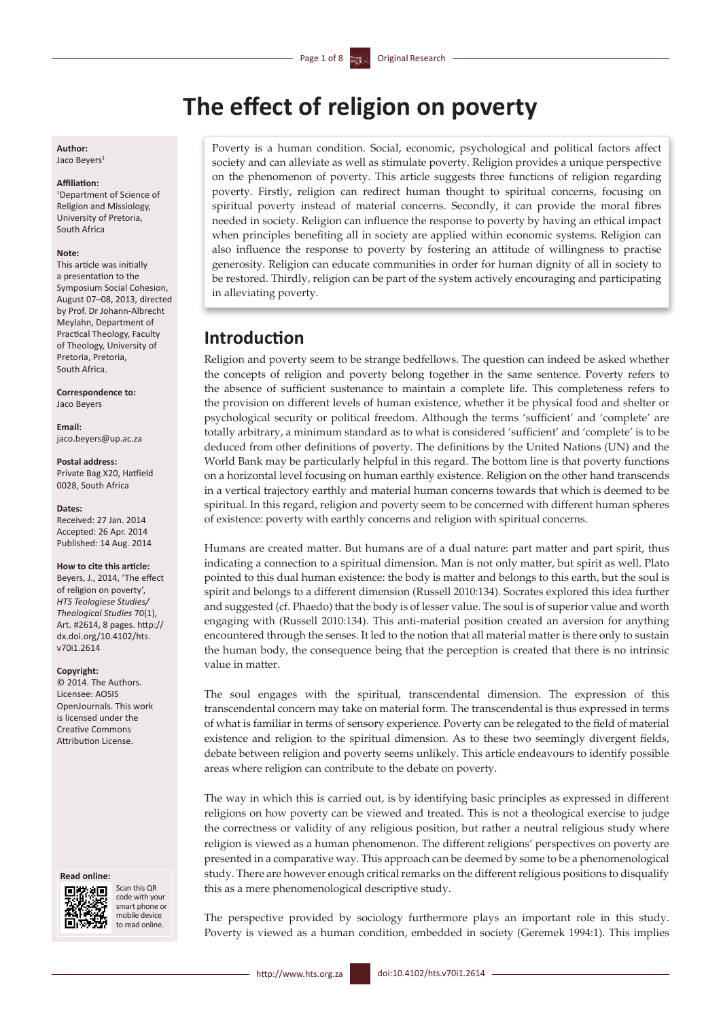# **The effect of religion on poverty**

#### **Author:** Jaco Beyers<sup>1</sup>

#### **Affiliation:**

1 Department of Science of Religion and Missiology, University of Pretoria, South Africa

#### **Note:**

This article was initially a presentation to the Symposium Social Cohesion, August 07–08, 2013, directed by Prof. Dr Johann-Albrecht Meylahn, Department of Practical Theology, Faculty of Theology, University of Pretoria, Pretoria, South Africa.

**Correspondence to:** Jaco Beyers

**Email:** [jaco.beyers@up.ac.za](mailto:jaco.beyers@up.ac.za)

#### **Postal address:** Private Bag X20, Hatfield 0028, South Africa

#### **Dates:**

Received: 27 Jan. 2014 Accepted: 26 Apr. 2014 Published: 14 Aug. 2014

#### **How to cite this article:**

Beyers, J., 2014, 'The effect of religion on poverty', *HTS Teologiese Studies/ Theological Studies* 70(1), Art. #2614, 8 pages. [http://](http://dx.doi.org/10.4102/hts.v70i1.2614) [dx.doi.org/10.4102/hts.](http://dx.doi.org/10.4102/hts.v70i1.2614) [v70i1.2614](http://dx.doi.org/10.4102/hts.v70i1.2614)

#### **Copyright:**

© 2014. The Authors. Licensee: AOSIS OpenJournals. This work is licensed under the Creative Commons Attribution License.

#### **Read online:**



Scan this OR code with your smart phone or mobile device to read online.

Poverty is a human condition. Social, economic, psychological and political factors affect society and can alleviate as well as stimulate poverty. Religion provides a unique perspective on the phenomenon of poverty. This article suggests three functions of religion regarding poverty. Firstly, religion can redirect human thought to spiritual concerns, focusing on spiritual poverty instead of material concerns. Secondly, it can provide the moral fibres needed in society. Religion can influence the response to poverty by having an ethical impact when principles benefiting all in society are applied within economic systems. Religion can also influence the response to poverty by fostering an attitude of willingness to practise generosity. Religion can educate communities in order for human dignity of all in society to be restored. Thirdly, religion can be part of the system actively encouraging and participating in alleviating poverty.

## **Introduction**

Religion and poverty seem to be strange bedfellows. The question can indeed be asked whether the concepts of religion and poverty belong together in the same sentence. Poverty refers to the absence of sufficient sustenance to maintain a complete life. This completeness refers to the provision on different levels of human existence, whether it be physical food and shelter or psychological security or political freedom. Although the terms 'sufficient' and 'complete' are totally arbitrary, a minimum standard as to what is considered 'sufficient' and 'complete' is to be deduced from other definitions of poverty. The definitions by the United Nations (UN) and the World Bank may be particularly helpful in this regard. The bottom line is that poverty functions on a horizontal level focusing on human earthly existence. Religion on the other hand transcends in a vertical trajectory earthly and material human concerns towards that which is deemed to be spiritual. In this regard, religion and poverty seem to be concerned with different human spheres of existence: poverty with earthly concerns and religion with spiritual concerns.

Humans are created matter. But humans are of a dual nature: part matter and part spirit, thus indicating a connection to a spiritual dimension. Man is not only matter, but spirit as well. Plato pointed to this dual human existence: the body is matter and belongs to this earth, but the soul is spirit and belongs to a different dimension (Russell 2010:134). Socrates explored this idea further and suggested (cf. Phaedo) that the body is of lesser value. The soul is of superior value and worth engaging with (Russell 2010:134). This anti-material position created an aversion for anything encountered through the senses. It led to the notion that all material matter is there only to sustain the human body, the consequence being that the perception is created that there is no intrinsic value in matter.

The soul engages with the spiritual, transcendental dimension. The expression of this transcendental concern may take on material form. The transcendental is thus expressed in terms of what is familiar in terms of sensory experience. Poverty can be relegated to the field of material existence and religion to the spiritual dimension. As to these two seemingly divergent fields, debate between religion and poverty seems unlikely. This article endeavours to identify possible areas where religion can contribute to the debate on poverty.

The way in which this is carried out, is by identifying basic principles as expressed in different religions on how poverty can be viewed and treated. This is not a theological exercise to judge the correctness or validity of any religious position, but rather a neutral religious study where religion is viewed as a human phenomenon. The different religions' perspectives on poverty are presented in a comparative way. This approach can be deemed by some to be a phenomenological study. There are however enough critical remarks on the different religious positions to disqualify this as a mere phenomenological descriptive study.

The perspective provided by sociology furthermore plays an important role in this study. Poverty is viewed as a human condition, embedded in society (Geremek 1994:1). This implies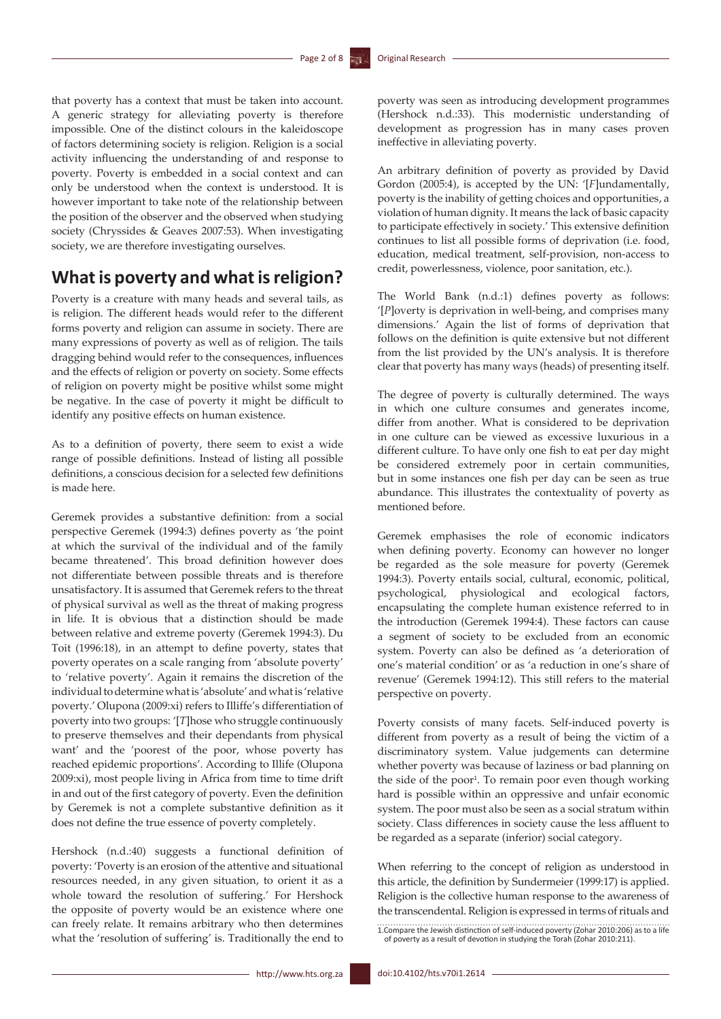that poverty has a context that must be taken into account. A generic strategy for alleviating poverty is therefore impossible. One of the distinct colours in the kaleidoscope of factors determining society is religion. Religion is a social activity influencing the understanding of and response to poverty. Poverty is embedded in a social context and can only be understood when the context is understood. It is however important to take note of the relationship between the position of the observer and the observed when studying society (Chryssides & Geaves 2007:53). When investigating society, we are therefore investigating ourselves.

## **What is poverty and what is religion?**

Poverty is a creature with many heads and several tails, as is religion. The different heads would refer to the different forms poverty and religion can assume in society. There are many expressions of poverty as well as of religion. The tails dragging behind would refer to the consequences, influences and the effects of religion or poverty on society. Some effects of religion on poverty might be positive whilst some might be negative. In the case of poverty it might be difficult to identify any positive effects on human existence.

As to a definition of poverty, there seem to exist a wide range of possible definitions. Instead of listing all possible definitions, a conscious decision for a selected few definitions is made here.

Geremek provides a substantive definition: from a social perspective Geremek (1994:3) defines poverty as 'the point at which the survival of the individual and of the family became threatened'. This broad definition however does not differentiate between possible threats and is therefore unsatisfactory. It is assumed that Geremek refers to the threat of physical survival as well as the threat of making progress in life. It is obvious that a distinction should be made between relative and extreme poverty (Geremek 1994:3). Du Toit (1996:18), in an attempt to define poverty, states that poverty operates on a scale ranging from 'absolute poverty' to 'relative poverty'. Again it remains the discretion of the individual to determine what is 'absolute' and what is 'relative poverty.' Olupona (2009:xi) refers to Illiffe's differentiation of poverty into two groups: '[*T*]hose who struggle continuously to preserve themselves and their dependants from physical want' and the 'poorest of the poor, whose poverty has reached epidemic proportions'. According to Illife (Olupona 2009:xi), most people living in Africa from time to time drift in and out of the first category of poverty. Even the definition by Geremek is not a complete substantive definition as it does not define the true essence of poverty completely.

Hershock (n.d.:40) suggests a functional definition of poverty: 'Poverty is an erosion of the attentive and situational resources needed, in any given situation, to orient it as a whole toward the resolution of suffering.' For Hershock the opposite of poverty would be an existence where one can freely relate. It remains arbitrary who then determines what the 'resolution of suffering' is. Traditionally the end to

poverty was seen as introducing development programmes (Hershock n.d.:33). This modernistic understanding of development as progression has in many cases proven ineffective in alleviating poverty.

An arbitrary definition of poverty as provided by David Gordon (2005:4), is accepted by the UN: '[*F*]undamentally, poverty is the inability of getting choices and opportunities, a violation of human dignity. It means the lack of basic capacity to participate effectively in society.' This extensive definition continues to list all possible forms of deprivation (i.e. food, education, medical treatment, self-provision, non-access to credit, powerlessness, violence, poor sanitation, etc.).

The World Bank (n.d.:1) defines poverty as follows: '[*P*]overty is deprivation in well-being, and comprises many dimensions.' Again the list of forms of deprivation that follows on the definition is quite extensive but not different from the list provided by the UN's analysis. It is therefore clear that poverty has many ways (heads) of presenting itself.

The degree of poverty is culturally determined. The ways in which one culture consumes and generates income, differ from another. What is considered to be deprivation in one culture can be viewed as excessive luxurious in a different culture. To have only one fish to eat per day might be considered extremely poor in certain communities, but in some instances one fish per day can be seen as true abundance. This illustrates the contextuality of poverty as mentioned before.

Geremek emphasises the role of economic indicators when defining poverty. Economy can however no longer be regarded as the sole measure for poverty (Geremek 1994:3). Poverty entails social, cultural, economic, political, psychological, physiological and ecological factors, encapsulating the complete human existence referred to in the introduction (Geremek 1994:4). These factors can cause a segment of society to be excluded from an economic system. Poverty can also be defined as 'a deterioration of one's material condition' or as 'a reduction in one's share of revenue' (Geremek 1994:12). This still refers to the material perspective on poverty.

Poverty consists of many facets. Self-induced poverty is different from poverty as a result of being the victim of a discriminatory system. Value judgements can determine whether poverty was because of laziness or bad planning on the side of the poor<sup>1</sup>. To remain poor even though working hard is possible within an oppressive and unfair economic system. The poor must also be seen as a social stratum within society. Class differences in society cause the less affluent to be regarded as a separate (inferior) social category.

When referring to the concept of religion as understood in this article, the definition by Sundermeier (1999:17) is applied. Religion is the collective human response to the awareness of the transcendental. Religion is expressed in terms of rituals and

1.Compare the Jewish distinction of self-induced poverty (Zohar 2010:206) as to a life of poverty as a result of devotion in studying the Torah (Zohar 2010:211).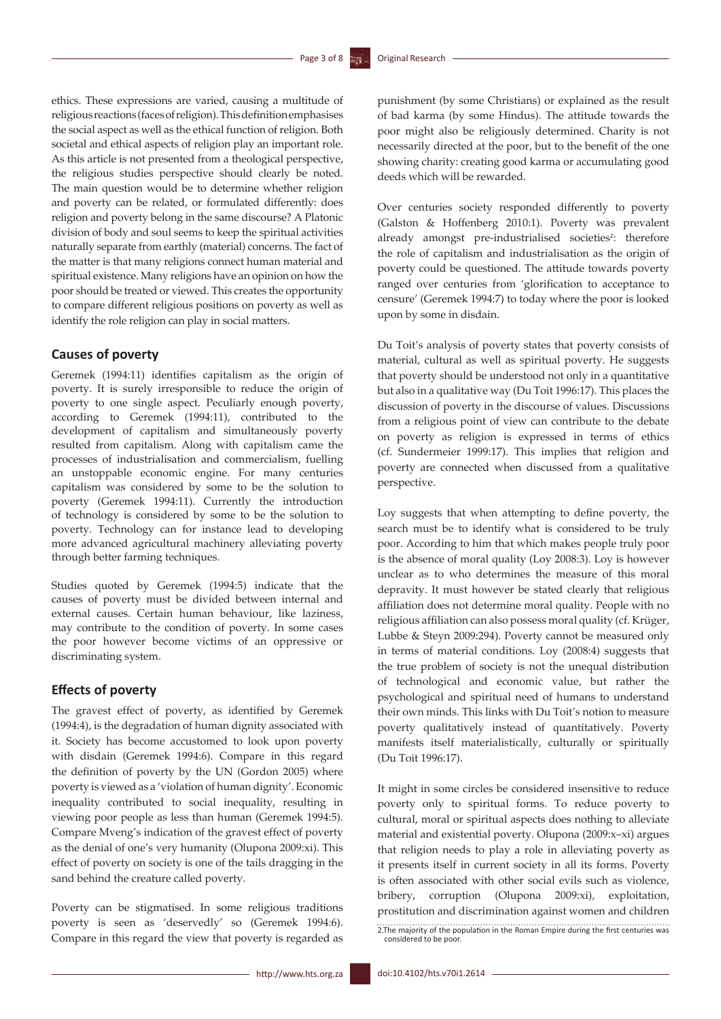ethics. These expressions are varied, causing a multitude of religious reactions (faces of religion). This definition emphasises the social aspect as well as the ethical function of religion. Both societal and ethical aspects of religion play an important role. As this article is not presented from a theological perspective, the religious studies perspective should clearly be noted. The main question would be to determine whether religion and poverty can be related, or formulated differently: does religion and poverty belong in the same discourse? A Platonic division of body and soul seems to keep the spiritual activities naturally separate from earthly (material) concerns. The fact of the matter is that many religions connect human material and spiritual existence. Many religions have an opinion on how the poor should be treated or viewed. This creates the opportunity to compare different religious positions on poverty as well as identify the role religion can play in social matters.

## **Causes of poverty**

Geremek (1994:11) identifies capitalism as the origin of poverty. It is surely irresponsible to reduce the origin of poverty to one single aspect. Peculiarly enough poverty, according to Geremek (1994:11), contributed to the development of capitalism and simultaneously poverty resulted from capitalism. Along with capitalism came the processes of industrialisation and commercialism, fuelling an unstoppable economic engine. For many centuries capitalism was considered by some to be the solution to poverty (Geremek 1994:11). Currently the introduction of technology is considered by some to be the solution to poverty. Technology can for instance lead to developing more advanced agricultural machinery alleviating poverty through better farming techniques.

Studies quoted by Geremek (1994:5) indicate that the causes of poverty must be divided between internal and external causes. Certain human behaviour, like laziness, may contribute to the condition of poverty. In some cases the poor however become victims of an oppressive or discriminating system.

## **Effects of poverty**

The gravest effect of poverty, as identified by Geremek (1994:4), is the degradation of human dignity associated with it. Society has become accustomed to look upon poverty with disdain (Geremek 1994:6). Compare in this regard the definition of poverty by the UN (Gordon 2005) where poverty is viewed as a 'violation of human dignity'. Economic inequality contributed to social inequality, resulting in viewing poor people as less than human (Geremek 1994:5). Compare Mveng's indication of the gravest effect of poverty as the denial of one's very humanity (Olupona 2009:xi). This effect of poverty on society is one of the tails dragging in the sand behind the creature called poverty.

Poverty can be stigmatised. In some religious traditions poverty is seen as 'deservedly' so (Geremek 1994:6). Compare in this regard the view that poverty is regarded as

punishment (by some Christians) or explained as the result of bad karma (by some Hindus). The attitude towards the poor might also be religiously determined. Charity is not necessarily directed at the poor, but to the benefit of the one showing charity: creating good karma or accumulating good deeds which will be rewarded.

Over centuries society responded differently to poverty (Galston & Hoffenberg 2010:1). Poverty was prevalent already amongst pre-industrialised societies<sup>2</sup>: therefore the role of capitalism and industrialisation as the origin of poverty could be questioned. The attitude towards poverty ranged over centuries from 'glorification to acceptance to censure' (Geremek 1994:7) to today where the poor is looked upon by some in disdain.

Du Toit's analysis of poverty states that poverty consists of material, cultural as well as spiritual poverty. He suggests that poverty should be understood not only in a quantitative but also in a qualitative way (Du Toit 1996:17). This places the discussion of poverty in the discourse of values. Discussions from a religious point of view can contribute to the debate on poverty as religion is expressed in terms of ethics (cf. Sundermeier 1999:17). This implies that religion and poverty are connected when discussed from a qualitative perspective.

Loy suggests that when attempting to define poverty, the search must be to identify what is considered to be truly poor. According to him that which makes people truly poor is the absence of moral quality (Loy 2008:3). Loy is however unclear as to who determines the measure of this moral depravity. It must however be stated clearly that religious affiliation does not determine moral quality. People with no religious affiliation can also possess moral quality (cf. Krüger, Lubbe & Steyn 2009:294). Poverty cannot be measured only in terms of material conditions. Loy (2008:4) suggests that the true problem of society is not the unequal distribution of technological and economic value, but rather the psychological and spiritual need of humans to understand their own minds. This links with Du Toit's notion to measure poverty qualitatively instead of quantitatively. Poverty manifests itself materialistically, culturally or spiritually (Du Toit 1996:17).

It might in some circles be considered insensitive to reduce poverty only to spiritual forms. To reduce poverty to cultural, moral or spiritual aspects does nothing to alleviate material and existential poverty. Olupona (2009:x–xi) argues that religion needs to play a role in alleviating poverty as it presents itself in current society in all its forms. Poverty is often associated with other social evils such as violence, bribery, corruption (Olupona 2009:xi), exploitation, prostitution and discrimination against women and children 2.The majority of the population in the Roman Empire during the first centuries was considered to be poor.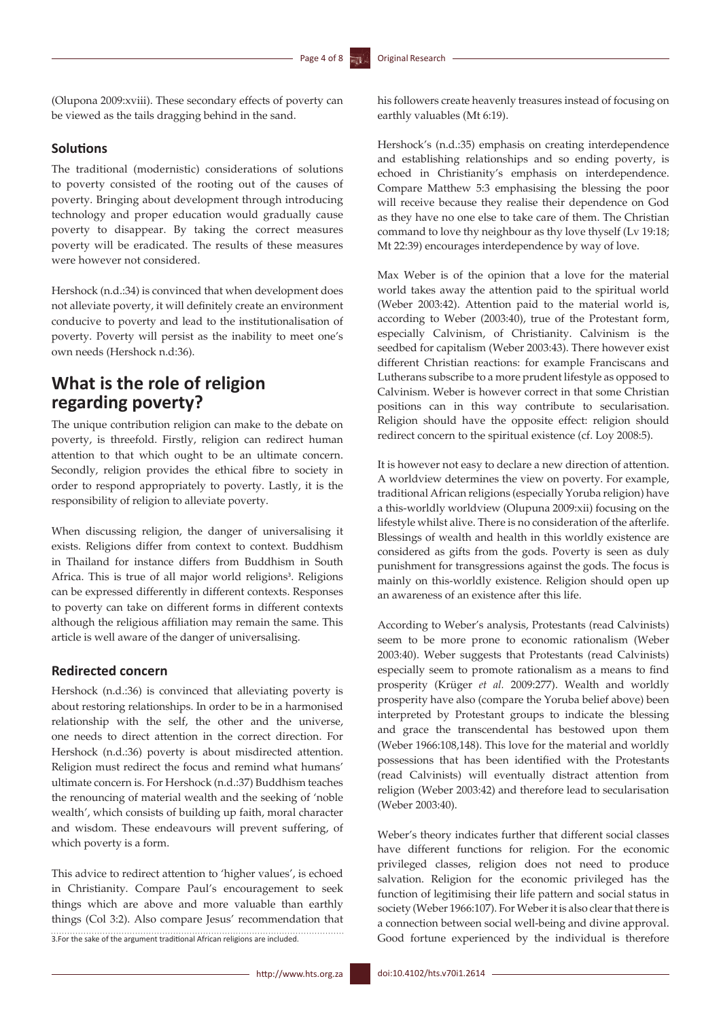(Olupona 2009:xviii). These secondary effects of poverty can be viewed as the tails dragging behind in the sand.

### **Solutions**

The traditional (modernistic) considerations of solutions to poverty consisted of the rooting out of the causes of poverty. Bringing about development through introducing technology and proper education would gradually cause poverty to disappear. By taking the correct measures poverty will be eradicated. The results of these measures were however not considered.

Hershock (n.d.:34) is convinced that when development does not alleviate poverty, it will definitely create an environment conducive to poverty and lead to the institutionalisation of poverty. Poverty will persist as the inability to meet one's own needs (Hershock n.d:36).

## **What is the role of religion regarding poverty?**

The unique contribution religion can make to the debate on poverty, is threefold. Firstly, religion can redirect human attention to that which ought to be an ultimate concern. Secondly, religion provides the ethical fibre to society in order to respond appropriately to poverty. Lastly, it is the responsibility of religion to alleviate poverty.

When discussing religion, the danger of universalising it exists. Religions differ from context to context. Buddhism in Thailand for instance differs from Buddhism in South Africa. This is true of all major world religions<sup>3</sup>. Religions can be expressed differently in different contexts. Responses to poverty can take on different forms in different contexts although the religious affiliation may remain the same. This article is well aware of the danger of universalising.

## **Redirected concern**

Hershock (n.d.:36) is convinced that alleviating poverty is about restoring relationships. In order to be in a harmonised relationship with the self, the other and the universe, one needs to direct attention in the correct direction. For Hershock (n.d.:36) poverty is about misdirected attention. Religion must redirect the focus and remind what humans' ultimate concern is. For Hershock (n.d.:37) Buddhism teaches the renouncing of material wealth and the seeking of 'noble wealth', which consists of building up faith, moral character and wisdom. These endeavours will prevent suffering, of which poverty is a form.

This advice to redirect attention to 'higher values', is echoed in Christianity. Compare Paul's encouragement to seek things which are above and more valuable than earthly things (Col 3:2). Also compare Jesus' recommendation that 3.For the sake of the argument traditional African religions are included.

his followers create heavenly treasures instead of focusing on earthly valuables (Mt 6:19).

Hershock's (n.d.:35) emphasis on creating interdependence and establishing relationships and so ending poverty, is echoed in Christianity's emphasis on interdependence. Compare Matthew 5:3 emphasising the blessing the poor will receive because they realise their dependence on God as they have no one else to take care of them. The Christian command to love thy neighbour as thy love thyself (Lv 19:18; Mt 22:39) encourages interdependence by way of love.

Max Weber is of the opinion that a love for the material world takes away the attention paid to the spiritual world (Weber 2003:42). Attention paid to the material world is, according to Weber (2003:40), true of the Protestant form, especially Calvinism, of Christianity. Calvinism is the seedbed for capitalism (Weber 2003:43). There however exist different Christian reactions: for example Franciscans and Lutherans subscribe to a more prudent lifestyle as opposed to Calvinism. Weber is however correct in that some Christian positions can in this way contribute to secularisation. Religion should have the opposite effect: religion should redirect concern to the spiritual existence (cf. Loy 2008:5).

It is however not easy to declare a new direction of attention. A worldview determines the view on poverty. For example, traditional African religions (especially Yoruba religion) have a this-worldly worldview (Olupuna 2009:xii) focusing on the lifestyle whilst alive. There is no consideration of the afterlife. Blessings of wealth and health in this worldly existence are considered as gifts from the gods. Poverty is seen as duly punishment for transgressions against the gods. The focus is mainly on this-worldly existence. Religion should open up an awareness of an existence after this life.

According to Weber's analysis, Protestants (read Calvinists) seem to be more prone to economic rationalism (Weber 2003:40). Weber suggests that Protestants (read Calvinists) especially seem to promote rationalism as a means to find prosperity (Krüger *et al.* 2009:277). Wealth and worldly prosperity have also (compare the Yoruba belief above) been interpreted by Protestant groups to indicate the blessing and grace the transcendental has bestowed upon them (Weber 1966:108,148). This love for the material and worldly possessions that has been identified with the Protestants (read Calvinists) will eventually distract attention from religion (Weber 2003:42) and therefore lead to secularisation (Weber 2003:40).

Weber's theory indicates further that different social classes have different functions for religion. For the economic privileged classes, religion does not need to produce salvation. Religion for the economic privileged has the function of legitimising their life pattern and social status in society (Weber 1966:107). For Weber it is also clear that there is a connection between social well-being and divine approval. Good fortune experienced by the individual is therefore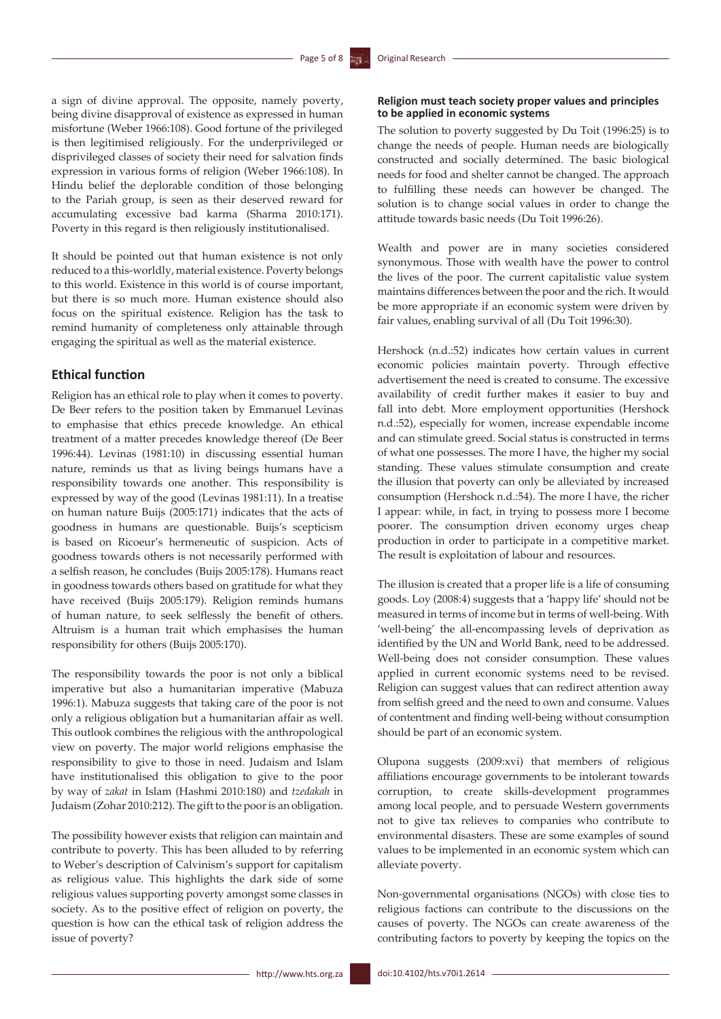a sign of divine approval. The opposite, namely poverty, being divine disapproval of existence as expressed in human misfortune (Weber 1966:108). Good fortune of the privileged is then legitimised religiously. For the underprivileged or disprivileged classes of society their need for salvation finds expression in various forms of religion (Weber 1966:108). In Hindu belief the deplorable condition of those belonging to the Pariah group, is seen as their deserved reward for accumulating excessive bad karma (Sharma 2010:171). Poverty in this regard is then religiously institutionalised.

It should be pointed out that human existence is not only reduced to a this-worldly, material existence. Poverty belongs to this world. Existence in this world is of course important, but there is so much more. Human existence should also focus on the spiritual existence. Religion has the task to remind humanity of completeness only attainable through engaging the spiritual as well as the material existence.

### **Ethical function**

Religion has an ethical role to play when it comes to poverty. De Beer refers to the position taken by Emmanuel Levinas to emphasise that ethics precede knowledge. An ethical treatment of a matter precedes knowledge thereof (De Beer 1996:44). Levinas (1981:10) in discussing essential human nature, reminds us that as living beings humans have a responsibility towards one another. This responsibility is expressed by way of the good (Levinas 1981:11). In a treatise on human nature Buijs (2005:171) indicates that the acts of goodness in humans are questionable. Buijs's scepticism is based on Ricoeur's hermeneutic of suspicion. Acts of goodness towards others is not necessarily performed with a selfish reason, he concludes (Buijs 2005:178). Humans react in goodness towards others based on gratitude for what they have received (Buijs 2005:179). Religion reminds humans of human nature, to seek selflessly the benefit of others. Altruism is a human trait which emphasises the human responsibility for others (Buijs 2005:170).

The responsibility towards the poor is not only a biblical imperative but also a humanitarian imperative (Mabuza 1996:1). Mabuza suggests that taking care of the poor is not only a religious obligation but a humanitarian affair as well. This outlook combines the religious with the anthropological view on poverty. The major world religions emphasise the responsibility to give to those in need. Judaism and Islam have institutionalised this obligation to give to the poor by way of *zakat* in Islam (Hashmi 2010:180) and *tzedakah* in Judaism (Zohar 2010:212). The gift to the poor is an obligation.

The possibility however exists that religion can maintain and contribute to poverty. This has been alluded to by referring to Weber's description of Calvinism's support for capitalism as religious value. This highlights the dark side of some religious values supporting poverty amongst some classes in society. As to the positive effect of religion on poverty, the question is how can the ethical task of religion address the issue of poverty?

#### **Religion must teach society proper values and principles to be applied in economic systems**

The solution to poverty suggested by Du Toit (1996:25) is to change the needs of people. Human needs are biologically constructed and socially determined. The basic biological needs for food and shelter cannot be changed. The approach to fulfilling these needs can however be changed. The solution is to change social values in order to change the attitude towards basic needs (Du Toit 1996:26).

Wealth and power are in many societies considered synonymous. Those with wealth have the power to control the lives of the poor. The current capitalistic value system maintains differences between the poor and the rich. It would be more appropriate if an economic system were driven by fair values, enabling survival of all (Du Toit 1996:30).

Hershock (n.d.:52) indicates how certain values in current economic policies maintain poverty. Through effective advertisement the need is created to consume. The excessive availability of credit further makes it easier to buy and fall into debt. More employment opportunities (Hershock n.d.:52), especially for women, increase expendable income and can stimulate greed. Social status is constructed in terms of what one possesses. The more I have, the higher my social standing. These values stimulate consumption and create the illusion that poverty can only be alleviated by increased consumption (Hershock n.d.:54). The more I have, the richer I appear: while, in fact, in trying to possess more I become poorer. The consumption driven economy urges cheap production in order to participate in a competitive market. The result is exploitation of labour and resources.

The illusion is created that a proper life is a life of consuming goods. Loy (2008:4) suggests that a 'happy life' should not be measured in terms of income but in terms of well-being. With 'well-being' the all-encompassing levels of deprivation as identified by the UN and World Bank, need to be addressed. Well-being does not consider consumption. These values applied in current economic systems need to be revised. Religion can suggest values that can redirect attention away from selfish greed and the need to own and consume. Values of contentment and finding well-being without consumption should be part of an economic system.

Olupona suggests (2009:xvi) that members of religious affiliations encourage governments to be intolerant towards corruption, to create skills-development programmes among local people, and to persuade Western governments not to give tax relieves to companies who contribute to environmental disasters. These are some examples of sound values to be implemented in an economic system which can alleviate poverty.

Non-governmental organisations (NGOs) with close ties to religious factions can contribute to the discussions on the causes of poverty. The NGOs can create awareness of the contributing factors to poverty by keeping the topics on the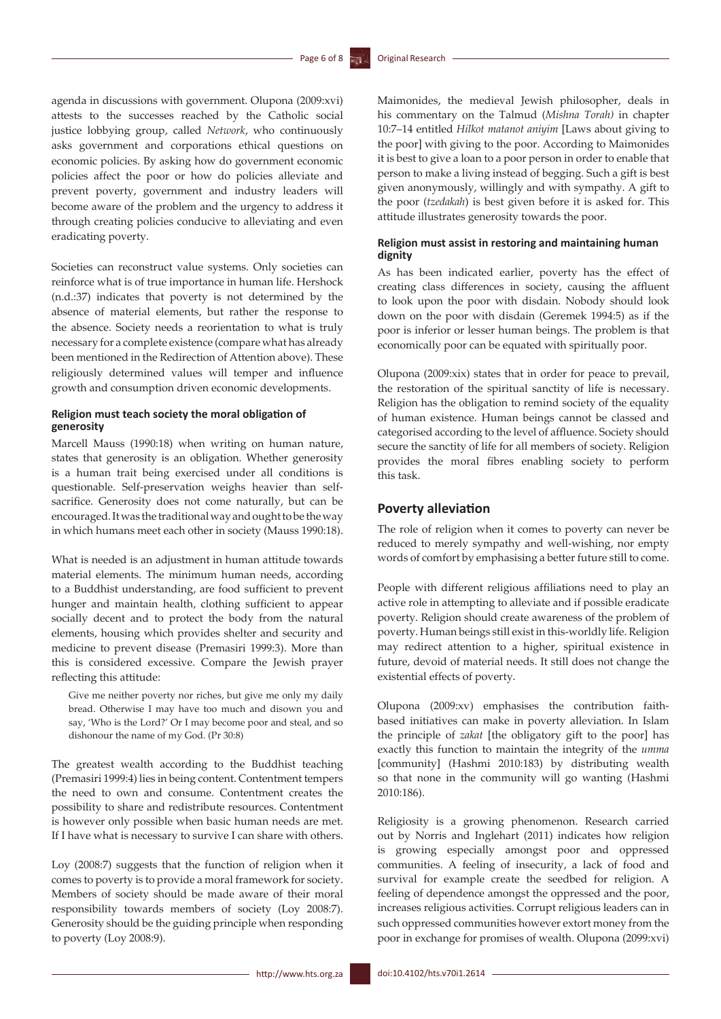agenda in discussions with government. Olupona (2009:xvi) attests to the successes reached by the Catholic social justice lobbying group, called *Network*, who continuously asks government and corporations ethical questions on economic policies. By asking how do government economic policies affect the poor or how do policies alleviate and prevent poverty, government and industry leaders will become aware of the problem and the urgency to address it through creating policies conducive to alleviating and even eradicating poverty.

Societies can reconstruct value systems. Only societies can reinforce what is of true importance in human life. Hershock (n.d.:37) indicates that poverty is not determined by the absence of material elements, but rather the response to the absence. Society needs a reorientation to what is truly necessary for a complete existence (compare what has already been mentioned in the Redirection of Attention above). These religiously determined values will temper and influence growth and consumption driven economic developments.

### **Religion must teach society the moral obligation of generosity**

Marcell Mauss (1990:18) when writing on human nature, states that generosity is an obligation. Whether generosity is a human trait being exercised under all conditions is questionable. Self-preservation weighs heavier than selfsacrifice. Generosity does not come naturally, but can be encouraged. It was the traditional way and ought to be the way in which humans meet each other in society (Mauss 1990:18).

What is needed is an adjustment in human attitude towards material elements. The minimum human needs, according to a Buddhist understanding, are food sufficient to prevent hunger and maintain health, clothing sufficient to appear socially decent and to protect the body from the natural elements, housing which provides shelter and security and medicine to prevent disease (Premasiri 1999:3). More than this is considered excessive. Compare the Jewish prayer reflecting this attitude:

Give me neither poverty nor riches, but give me only my daily bread. Otherwise I may have too much and disown you and say, 'Who is the Lord?' Or I may become poor and steal, and so dishonour the name of my God. (Pr 30:8)

The greatest wealth according to the Buddhist teaching (Premasiri 1999:4) lies in being content. Contentment tempers the need to own and consume. Contentment creates the possibility to share and redistribute resources. Contentment is however only possible when basic human needs are met. If I have what is necessary to survive I can share with others.

Loy (2008:7) suggests that the function of religion when it comes to poverty is to provide a moral framework for society. Members of society should be made aware of their moral responsibility towards members of society (Loy 2008:7). Generosity should be the guiding principle when responding to poverty (Loy 2008:9).

Maimonides, the medieval Jewish philosopher, deals in his commentary on the Talmud (*Mishna Torah)* in chapter 10:7–14 entitled *Hilkot matanot aniyim* [Laws about giving to the poor] with giving to the poor. According to Maimonides it is best to give a loan to a poor person in order to enable that person to make a living instead of begging. Such a gift is best given anonymously, willingly and with sympathy. A gift to the poor (*tzedakah*) is best given before it is asked for. This attitude illustrates generosity towards the poor.

#### **Religion must assist in restoring and maintaining human dignity**

As has been indicated earlier, poverty has the effect of creating class differences in society, causing the affluent to look upon the poor with disdain. Nobody should look down on the poor with disdain (Geremek 1994:5) as if the poor is inferior or lesser human beings. The problem is that economically poor can be equated with spiritually poor.

Olupona (2009:xix) states that in order for peace to prevail, the restoration of the spiritual sanctity of life is necessary. Religion has the obligation to remind society of the equality of human existence. Human beings cannot be classed and categorised according to the level of affluence. Society should secure the sanctity of life for all members of society. Religion provides the moral fibres enabling society to perform this task.

### **Poverty alleviation**

The role of religion when it comes to poverty can never be reduced to merely sympathy and well-wishing, nor empty words of comfort by emphasising a better future still to come.

People with different religious affiliations need to play an active role in attempting to alleviate and if possible eradicate poverty. Religion should create awareness of the problem of poverty. Human beings still exist in this-worldly life. Religion may redirect attention to a higher, spiritual existence in future, devoid of material needs. It still does not change the existential effects of poverty.

Olupona (2009:xv) emphasises the contribution faithbased initiatives can make in poverty alleviation. In Islam the principle of *zakat* [the obligatory gift to the poor] has exactly this function to maintain the integrity of the *umma* [community] (Hashmi 2010:183) by distributing wealth so that none in the community will go wanting (Hashmi 2010:186).

Religiosity is a growing phenomenon. Research carried out by Norris and Inglehart (2011) indicates how religion is growing especially amongst poor and oppressed communities. A feeling of insecurity, a lack of food and survival for example create the seedbed for religion. A feeling of dependence amongst the oppressed and the poor, increases religious activities. Corrupt religious leaders can in such oppressed communities however extort money from the poor in exchange for promises of wealth. Olupona (2099:xvi)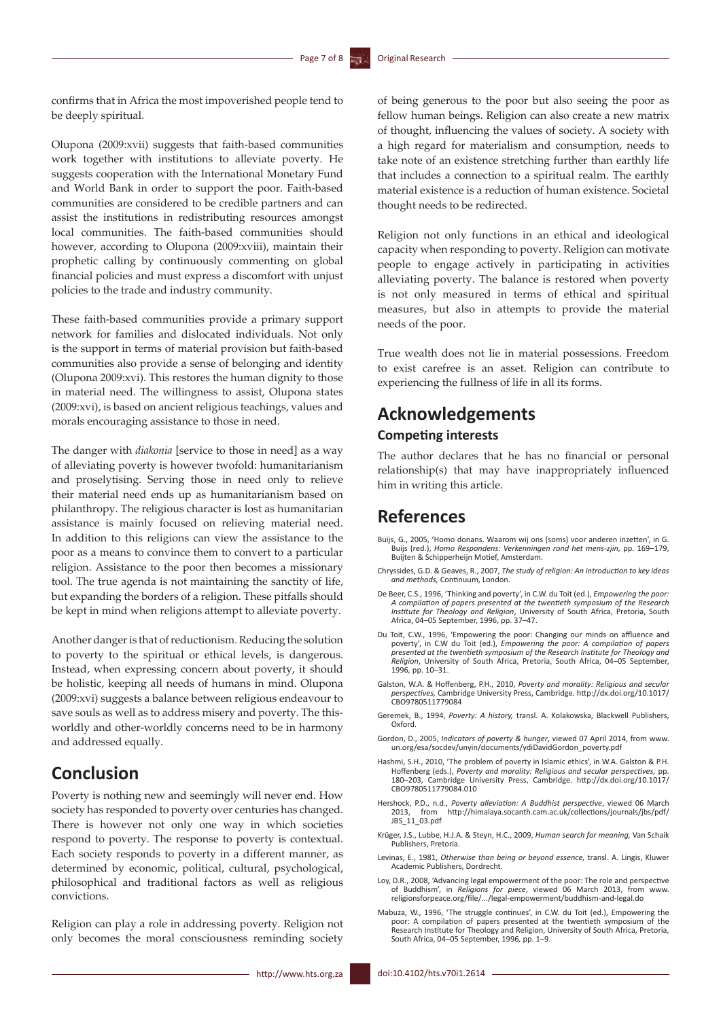confirms that in Africa the most impoverished people tend to be deeply spiritual.

Olupona (2009:xvii) suggests that faith-based communities work together with institutions to alleviate poverty. He suggests cooperation with the International Monetary Fund and World Bank in order to support the poor. Faith-based communities are considered to be credible partners and can assist the institutions in redistributing resources amongst local communities. The faith-based communities should however, according to Olupona (2009:xviii), maintain their prophetic calling by continuously commenting on global financial policies and must express a discomfort with unjust policies to the trade and industry community.

These faith-based communities provide a primary support network for families and dislocated individuals. Not only is the support in terms of material provision but faith-based communities also provide a sense of belonging and identity (Olupona 2009:xvi). This restores the human dignity to those in material need. The willingness to assist, Olupona states (2009:xvi), is based on ancient religious teachings, values and morals encouraging assistance to those in need.

The danger with *diakonia* [service to those in need] as a way of alleviating poverty is however twofold: humanitarianism and proselytising. Serving those in need only to relieve their material need ends up as humanitarianism based on philanthropy. The religious character is lost as humanitarian assistance is mainly focused on relieving material need. In addition to this religions can view the assistance to the poor as a means to convince them to convert to a particular religion. Assistance to the poor then becomes a missionary tool. The true agenda is not maintaining the sanctity of life, but expanding the borders of a religion. These pitfalls should be kept in mind when religions attempt to alleviate poverty.

Another danger is that of reductionism. Reducing the solution to poverty to the spiritual or ethical levels, is dangerous. Instead, when expressing concern about poverty, it should be holistic, keeping all needs of humans in mind. Olupona (2009:xvi) suggests a balance between religious endeavour to save souls as well as to address misery and poverty. The thisworldly and other-worldly concerns need to be in harmony and addressed equally.

## **Conclusion**

Poverty is nothing new and seemingly will never end. How society has responded to poverty over centuries has changed. There is however not only one way in which societies respond to poverty. The response to poverty is contextual. Each society responds to poverty in a different manner, as determined by economic, political, cultural, psychological, philosophical and traditional factors as well as religious convictions.

Religion can play a role in addressing poverty. Religion not only becomes the moral consciousness reminding society

of being generous to the poor but also seeing the poor as fellow human beings. Religion can also create a new matrix of thought, influencing the values of society. A society with a high regard for materialism and consumption, needs to take note of an existence stretching further than earthly life that includes a connection to a spiritual realm. The earthly material existence is a reduction of human existence. Societal thought needs to be redirected.

Religion not only functions in an ethical and ideological capacity when responding to poverty. Religion can motivate people to engage actively in participating in activities alleviating poverty. The balance is restored when poverty is not only measured in terms of ethical and spiritual measures, but also in attempts to provide the material needs of the poor.

True wealth does not lie in material possessions. Freedom to exist carefree is an asset. Religion can contribute to experiencing the fullness of life in all its forms.

## **Acknowledgements**

## **Competing interests**

The author declares that he has no financial or personal relationship(s) that may have inappropriately influenced him in writing this article.

## **References**

- Buijs, G., 2005, 'Homo donans. Waarom wij ons (soms) voor anderen inzetten', in G. Buijs (red.), *Homo Respondens: Verkenningen rond het mens-zjin,* pp. 169–179, Buijten & Schipperheijn Motief, Amsterdam.
- Chryssides, G.D. & Geaves, R., 2007, *The study of religion: An introduction to key ideas and methods,* Continuum, London.
- De Beer, C.S., 1996, 'Thinking and poverty', in C.W. du Toit (ed.), *Empowering the poor: A compilation of papers presented at the twentieth symposium of the Research Institute for Theology and Religion*, University of South Africa, Pretoria, South Africa, 04–05 September, 1996, pp. 37–47.
- Du Toit, C.W., 1996, 'Empowering the poor: Changing our minds on affluence and<br>poverty', in C.W du Toit (ed.), Empowering the poor: A compilation of papers<br>presented at the twentieth symposium of the Research Institute for *Religion*, University of South Africa, Pretoria, South Africa, 04–05 September, 1996*,* pp. 10–31.
- Galston, W.A. & Hoffenberg, P.H., 2010, *Poverty and morality: Religious and secular perspectives,* Cambridge University Press, Cambridge. [http://dx.doi.org/10.1017/](http://dx.doi.org/10.1017/CBO9780511779084) [CBO9780511779084](http://dx.doi.org/10.1017/CBO9780511779084)
- Geremek, B., 1994, *Poverty: A history,* transl. A. Kolakowska, Blackwell Publishers, Oxford.
- Gordon, D., 2005, *Indicators of poverty & hunger*, viewed 07 April 2014, from [www.](http://www.un.org/esa/socdev/unyin/documents/ydiDavidGordon_poverty.pdf) [un.org/esa/socdev/unyin/documents/ydiDavidGordon\\_poverty.pdf](http://www.un.org/esa/socdev/unyin/documents/ydiDavidGordon_poverty.pdf)
- Hashmi, S.H., 2010, 'The problem of poverty in Islamic ethics', in W.A. Galston & P.H. Hoffenberg (eds.), *Poverty and morality: Religious and secular perspectives,* pp. 180–203, Cambridge University Press, Cambridge. [http://dx.doi.org/10.1017/](http://dx.doi.org/10.1017/CBO9780511779084.010) [CBO9780511779084.010](http://dx.doi.org/10.1017/CBO9780511779084.010)
- Hershock, P.D., n.d., *Poverty alleviation: A Buddhist perspective*, viewed 06 March 2013, from [http://himalaya.socanth.cam.ac.uk/collections/journals/jbs/pdf/](http://himalaya.socanth.cam.ac.uk/collections/journals/jbs/pdf/JBS_11_03.pdf) [JBS\\_11\\_03.pdf](http://himalaya.socanth.cam.ac.uk/collections/journals/jbs/pdf/JBS_11_03.pdf)
- Krüger, J.S., Lubbe, H.J.A. & Steyn, H.C., 2009, *Human search for meaning,* Van Schaik Publishers, Pretoria.
- Levinas, E., 1981, *Otherwise than being or beyond essence,* transl. A. Lingis, Kluwer Academic Publishers, Dordrecht.
- Loy, D.R., 2008, 'Advancing legal empowerment of the poor: The role and perspective of Buddhism', in *Religions for piece*, viewed 06 March 2013, from [www.](http://www.religionsforpeace.org/file/.../legal-empowerment/buddhism-and-legal.do) [religionsforpeace.org/file/.../legal-empowerment/buddhism-and-legal.do](http://www.religionsforpeace.org/file/.../legal-empowerment/buddhism-and-legal.do)
- Mabuza, W., 1996, 'The struggle continues', in C.W. du Toit (ed.), Empowering the poor: A compilation of papers presented at the twentieth symposium of the Research Institute for Theology and Religion, University of South Africa, Pretoria, South Africa, 04–05 September, 1996*,* pp. 1–9.